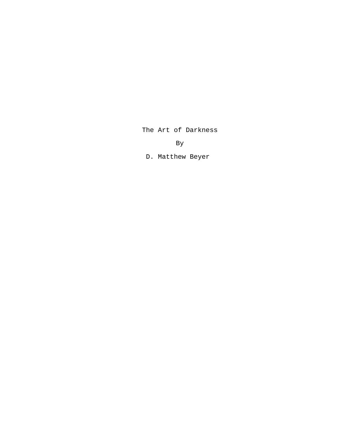The Art of Darkness

By

D. Matthew Beyer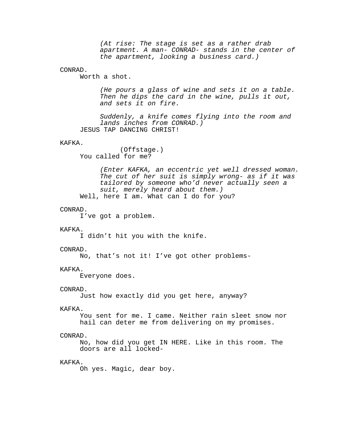(At rise: The stage is set as a rather drab apartment. A man- CONRAD- stands in the center of the apartment, looking a business card.)

# CONRAD.

Worth a shot.

(He pours a glass of wine and sets it on a table. Then he dips the card in the wine, pulls it out, and sets it on fire.

Suddenly, a knife comes flying into the room and lands inches from CONRAD.) JESUS TAP DANCING CHRIST!

## KAFKA.

(Offstage.) You called for me?

(Enter KAFKA, an eccentric yet well dressed woman. The cut of her suit is simply wrong- as if it was tailored by someone who'd never actually seen a suit, merely heard about them.) Well, here I am. What can I do for you?

#### CONRAD.

I've got a problem.

#### KAFKA.

I didn't hit you with the knife.

### CONRAD.

No, that's not it! I've got other problems-

### KAFKA.

Everyone does.

### CONRAD.

Just how exactly did you get here, anyway?

### KAFKA.

You sent for me. I came. Neither rain sleet snow nor hail can deter me from delivering on my promises.

### CONRAD.

No, how did you get IN HERE. Like in this room. The doors are all locked-

# KAFKA.

Oh yes. Magic, dear boy.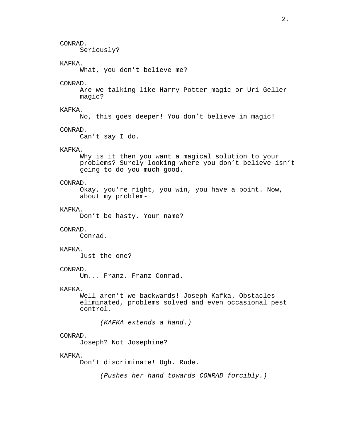# CONRAD.

Seriously?

# KAFKA.

What, you don't believe me?

## CONRAD.

Are we talking like Harry Potter magic or Uri Geller magic?

# KAFKA.

No, this goes deeper! You don't believe in magic!

### CONRAD.

Can't say I do.

# KAFKA.

Why is it then you want a magical solution to your problems? Surely looking where you don't believe isn't going to do you much good.

## CONRAD.

Okay, you're right, you win, you have a point. Now, about my problem-

### KAFKA.

Don't be hasty. Your name?

## CONRAD.

Conrad.

## KAFKA.

Just the one?

# CONRAD.

Um... Franz. Franz Conrad.

### KAFKA.

Well aren't we backwards! Joseph Kafka. Obstacles eliminated, problems solved and even occasional pest control.

(KAFKA extends a hand.)

## CONRAD.

Joseph? Not Josephine?

## KAFKA.

Don't discriminate! Ugh. Rude.

(Pushes her hand towards CONRAD forcibly.)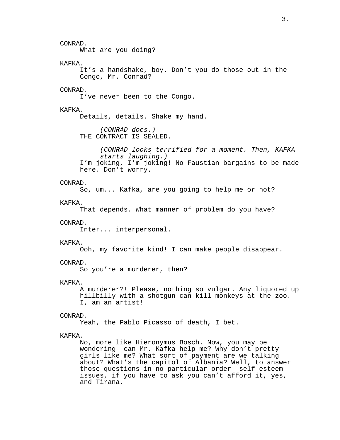CONRAD. What are you doing? KAFKA. It's a handshake, boy. Don't you do those out in the Congo, Mr. Conrad? CONRAD. I've never been to the Congo. KAFKA. Details, details. Shake my hand. (CONRAD does.) THE CONTRACT IS SEALED. (CONRAD looks terrified for a moment. Then, KAFKA starts laughing.) I'm joking, I'm joking! No Faustian bargains to be made here. Don't worry. CONRAD. So, um... Kafka, are you going to help me or not? KAFKA. That depends. What manner of problem do you have? CONRAD. Inter... interpersonal. KAFKA. Ooh, my favorite kind! I can make people disappear. CONRAD. So you're a murderer, then? KAFKA. A murderer?! Please, nothing so vulgar. Any liquored up hillbilly with a shotgun can kill monkeys at the zoo. I, am an artist! CONRAD. Yeah, the Pablo Picasso of death, I bet. KAFKA. No, more like Hieronymus Bosch. Now, you may be wondering- can Mr. Kafka help me? Why don't pretty girls like me? What sort of payment are we talking about? What's the capitol of Albania? Well, to answer those questions in no particular order- self esteem issues, if you have to ask you can't afford it, yes, and Tirana.

3.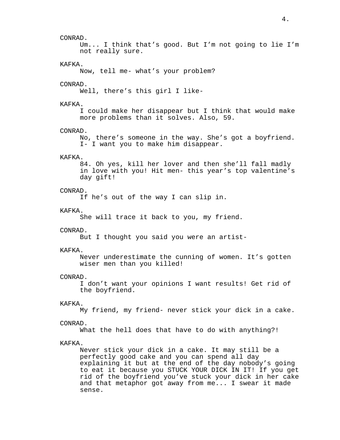### CONRAD.

Um... I think that's good. But I'm not going to lie I'm not really sure.

# KAFKA.

Now, tell me- what's your problem?

### CONRAD.

Well, there's this girl I like-

# KAFKA.

I could make her disappear but I think that would make more problems than it solves. Also, 59.

## CONRAD.

No, there's someone in the way. She's got a boyfriend. I- I want you to make him disappear.

# KAFKA.

84. Oh yes, kill her lover and then she'll fall madly in love with you! Hit men- this year's top valentine's day gift!

### CONRAD.

If he's out of the way I can slip in.

### KAFKA.

She will trace it back to you, my friend.

### CONRAD.

But I thought you said you were an artist-

# KAFKA.

Never underestimate the cunning of women. It's gotten wiser men than you killed!

### CONRAD.

I don't want your opinions I want results! Get rid of the boyfriend.

## KAFKA.

My friend, my friend- never stick your dick in a cake.

# CONRAD.

What the hell does that have to do with anything?!

# KAFKA.

Never stick your dick in a cake. It may still be a perfectly good cake and you can spend all day explaining it but at the end of the day nobody's going to eat it because you STUCK YOUR DICK IN IT! If you get rid of the boyfriend you've stuck your dick in her cake and that metaphor got away from me... I swear it made sense.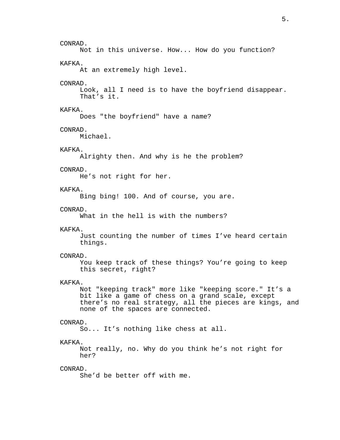CONRAD. Not in this universe. How... How do you function? KAFKA. At an extremely high level. CONRAD. Look, all I need is to have the boyfriend disappear. That's it. KAFKA. Does "the boyfriend" have a name? CONRAD. Michael. KAFKA. Alrighty then. And why is he the problem? CONRAD. He's not right for her. KAFKA. Bing bing! 100. And of course, you are. CONRAD. What in the hell is with the numbers? KAFKA. Just counting the number of times I've heard certain things. CONRAD. You keep track of these things? You're going to keep this secret, right? KAFKA. Not "keeping track" more like "keeping score." It's a bit like a game of chess on a grand scale, except there's no real strategy, all the pieces are kings, and none of the spaces are connected. CONRAD. So... It's nothing like chess at all. KAFKA. Not really, no. Why do you think he's not right for her? CONRAD. She'd be better off with me.

5.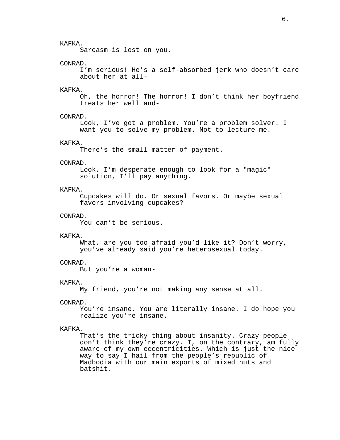# KAFKA.

Sarcasm is lost on you.

# CONRAD.

I'm serious! He's a self-absorbed jerk who doesn't care about her at all-

# KAFKA.

Oh, the horror! The horror! I don't think her boyfriend treats her well and-

# CONRAD.

Look, I've got a problem. You're a problem solver. I want you to solve my problem. Not to lecture me.

## KAFKA.

There's the small matter of payment.

### CONRAD.

Look, I'm desperate enough to look for a "magic" solution, I'll pay anything.

# KAFKA.

Cupcakes will do. Or sexual favors. Or maybe sexual favors involving cupcakes?

# CONRAD.

You can't be serious.

### KAFKA.

What, are you too afraid you'd like it? Don't worry, you've already said you're heterosexual today.

# CONRAD.

But you're a woman-

### KAFKA.

My friend, you're not making any sense at all.

## CONRAD.

You're insane. You are literally insane. I do hope you realize you're insane.

### KAFKA.

That's the tricky thing about insanity. Crazy people don't think they're crazy. I, on the contrary, am fully aware of my own eccentricities. Which is just the nice way to say I hail from the people's republic of Madbodia with our main exports of mixed nuts and batshit.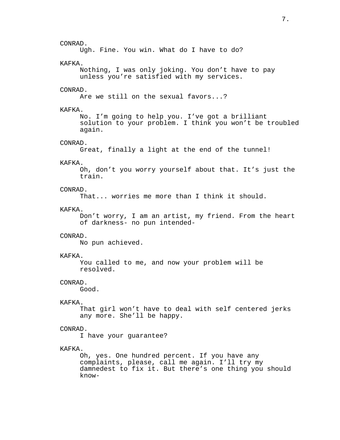CONRAD. Ugh. Fine. You win. What do I have to do? KAFKA. Nothing, I was only joking. You don't have to pay unless you're satisfied with my services. CONRAD. Are we still on the sexual favors...? KAFKA. No. I'm going to help you. I've got a brilliant solution to your problem. I think you won't be troubled again. CONRAD. Great, finally a light at the end of the tunnel! KAFKA. Oh, don't you worry yourself about that. It's just the train. CONRAD. That... worries me more than I think it should. KAFKA. Don't worry, I am an artist, my friend. From the heart of darkness- no pun intended-CONRAD. No pun achieved. KAFKA. You called to me, and now your problem will be resolved. CONRAD. Good. KAFKA. That girl won't have to deal with self centered jerks any more. She'll be happy. CONRAD. I have your guarantee? KAFKA. Oh, yes. One hundred percent. If you have any complaints, please, call me again. I'll try my damnedest to fix it. But there's one thing you should know-